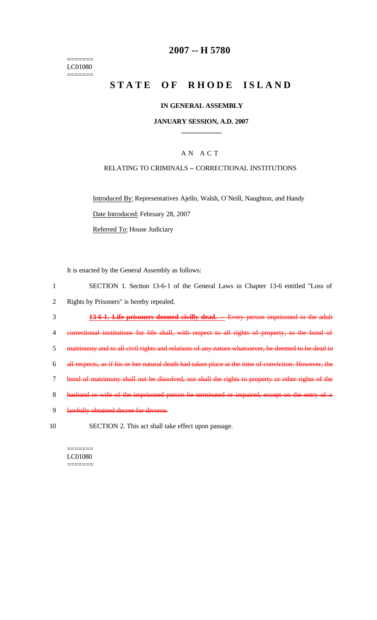======= LC01080 =======

### **2007 -- H 5780**

# **STATE OF RHODE ISLAND**

#### **IN GENERAL ASSEMBLY**

#### **JANUARY SESSION, A.D. 2007 \_\_\_\_\_\_\_\_\_\_\_\_**

### A N A C T

#### RELATING TO CRIMINALS -- CORRECTIONAL INSTITUTIONS

Introduced By: Representatives Ajello, Walsh, O`Neill, Naughton, and Handy Date Introduced: February 28, 2007

Referred To: House Judiciary

It is enacted by the General Assembly as follows:

|   | SECTION 1. Section 13-6-1 of the General Laws in Chapter 13-6 entitled "Loss of                      |
|---|------------------------------------------------------------------------------------------------------|
|   | Rights by Prisoners" is hereby repealed.                                                             |
|   | 13-6-1. Life prisoners deemed civilly dead.<br>Every person imprisoned in the adult                  |
|   | correctional institutions for life shall, with respect to all rights of property, to the bond of     |
| 5 | matrimony and to all civil rights and relations of any nature whatsoever, be deemed to be dead in    |
| 6 | all respects, as if his or her natural death had taken place at the time of conviction. However, the |
|   | bond of matrimony shall not be dissolved, nor shall the rights to property or other rights of the    |
| 8 | husband or wife of the imprisoned person be terminated or impaired, except on the entry of a         |
| 9 | lawfully obtained decree for divorce.                                                                |
|   |                                                                                                      |

10 SECTION 2. This act shall take effect upon passage.

======= LC01080 =======